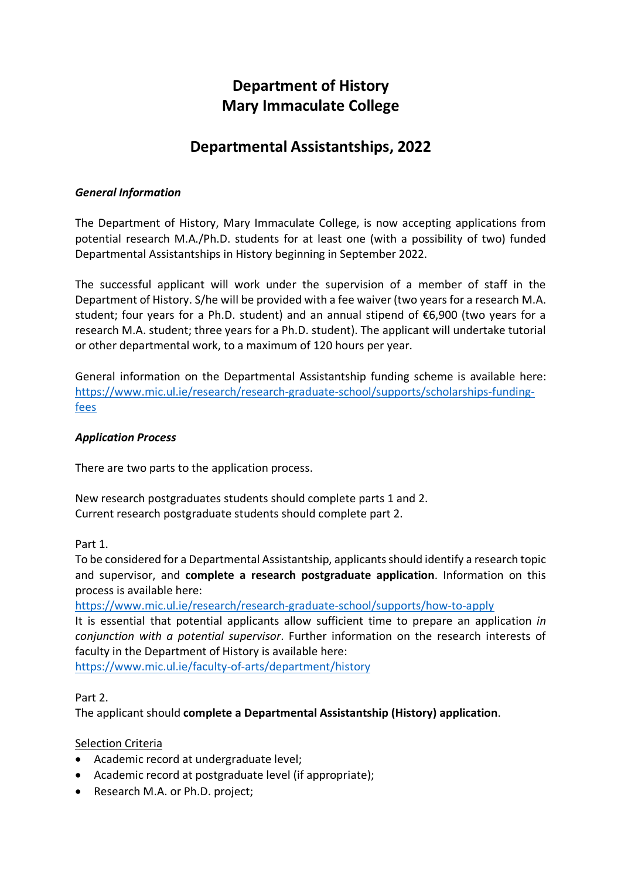# **Department of History Mary Immaculate College**

# **Departmental Assistantships, 2022**

## *General Information*

The Department of History, Mary Immaculate College, is now accepting applications from potential research M.A./Ph.D. students for at least one (with a possibility of two) funded Departmental Assistantships in History beginning in September 2022.

The successful applicant will work under the supervision of a member of staff in the Department of History. S/he will be provided with a fee waiver (two years for a research M.A. student; four years for a Ph.D. student) and an annual stipend of €6,900 (two years for a research M.A. student; three years for a Ph.D. student). The applicant will undertake tutorial or other departmental work, to a maximum of 120 hours per year.

General information on the Departmental Assistantship funding scheme is available here: https://www.mic.ul.ie/research/research-graduate-school/supports/scholarships-fundingfees

#### *Application Process*

There are two parts to the application process.

New research postgraduates students should complete parts 1 and 2. Current research postgraduate students should complete part 2.

Part 1.

To be considered for a Departmental Assistantship, applicants should identify a research topic and supervisor, and **complete a research postgraduate application**. Information on this process is available here:

https://www.mic.ul.ie/research/research-graduate-school/supports/how-to-apply

It is essential that potential applicants allow sufficient time to prepare an application *in conjunction with a potential supervisor*. Further information on the research interests of faculty in the Department of History is available here:

https://www.mic.ul.ie/faculty-of-arts/department/history

#### Part 2.

The applicant should **complete a Departmental Assistantship (History) application**.

#### Selection Criteria

- Academic record at undergraduate level;
- Academic record at postgraduate level (if appropriate);
- Research M.A. or Ph.D. project;